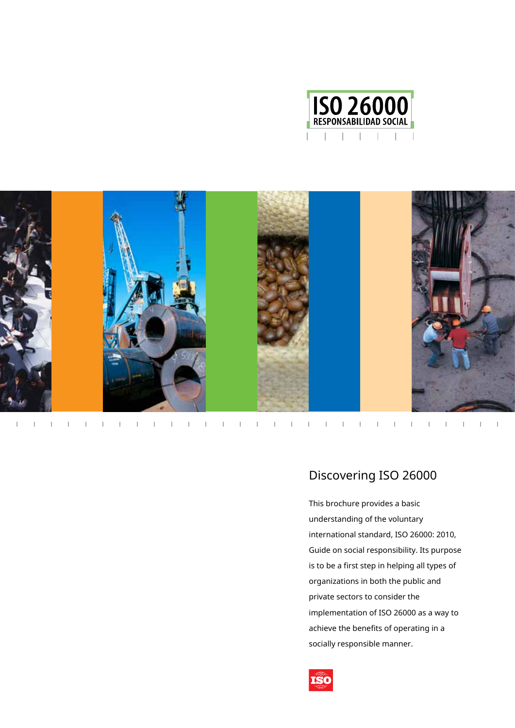



 $\mathbf{I}=\mathbf{I}=\mathbf{I}=\mathbf{I}=\mathbf{I}$  .  $-1$  $\sim 1$  $\Gamma = -\Gamma$  $\bar{\Gamma}$ 

# Discovering ISO 26000

This brochure provides a basic understanding of the voluntary international standard, ISO 26000: 2010, Guide on social responsibility. Its purpose is to be a first step in helping all types of organizations in both the public and private sectors to consider the implementation of ISO 26000 as a way to achieve the benefits of operating in a socially responsible manner.

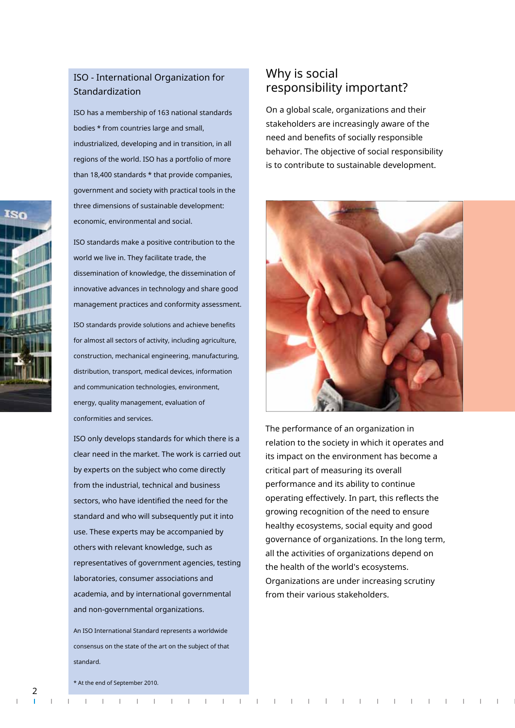#### ISO - International Organization for Standardization

ISO has a membership of 163 national standards bodies \* from countries large and small, industrialized, developing and in transition, in all regions of the world. ISO has a portfolio of more than 18,400 standards \* that provide companies, government and society with practical tools in the three dimensions of sustainable development: economic, environmental and social.

ISO standards make a positive contribution to the world we live in. They facilitate trade, the dissemination of knowledge, the dissemination of innovative advances in technology and share good management practices and conformity assessment. ISO standards provide solutions and achieve benefits for almost all sectors of activity, including agriculture, construction, mechanical engineering, manufacturing, distribution, transport, medical devices, information and communication technologies, environment, energy, quality management, evaluation of conformities and services.

ISO only develops standards for which there is a clear need in the market. The work is carried out by experts on the subject who come directly from the industrial, technical and business sectors, who have identified the need for the standard and who will subsequently put it into use. These experts may be accompanied by others with relevant knowledge, such as representatives of government agencies, testing laboratories, consumer associations and academia, and by international governmental and non-governmental organizations.

An ISO International Standard represents a worldwide consensus on the state of the art on the subject of that standard.

#### Why is social responsibility important?

On a global scale, organizations and their stakeholders are increasingly aware of the need and benefits of socially responsible behavior. The objective of social responsibility is to contribute to sustainable development.



The performance of an organization in relation to the society in which it operates and its impact on the environment has become a critical part of measuring its overall performance and its ability to continue operating effectively. In part, this reflects the growing recognition of the need to ensure healthy ecosystems, social equity and good governance of organizations. In the long term, all the activities of organizations depend on the health of the world's ecosystems. Organizations are under increasing scrutiny from their various stakeholders.



\* At the end of September 2010.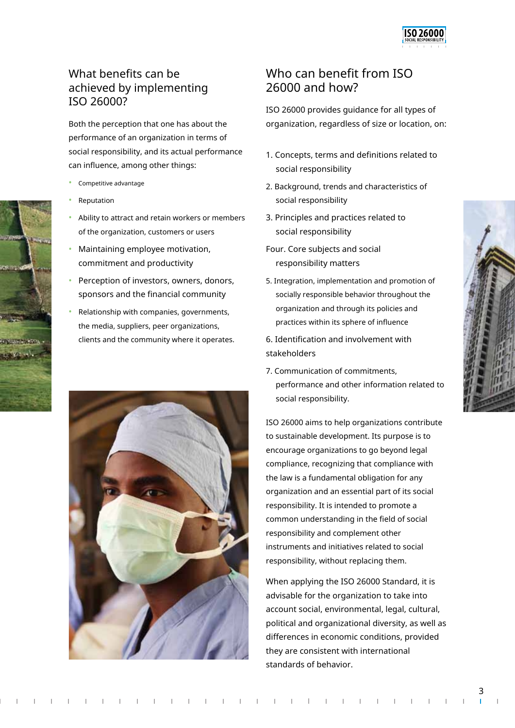

# What benefits can be achieved by implementing ISO 26000?

performance of an organization in terms of social responsibility, and its actual performance can influence, among other things:

- Competitive advantage
- **Reputation**
- Ability to attract and retain workers or members of the organization, customers or users
- Maintaining employee motivation, commitment and productivity
- Perception of investors, owners, donors, sponsors and the financial community
- Relationship with companies, governments, the media, suppliers, peer organizations, clients and the community where it operates. 6. Identification and involvement with



## Who can benefit from ISO 26000 and how?

ISO 26000 provides guidance for all types of Both the perception that one has about the organization, regardless of size or location, on:

- 1. Concepts, terms and definitions related to social responsibility
- 2. Background, trends and characteristics of social responsibility
- 3. Principles and practices related to social responsibility
- Four. Core subjects and social responsibility matters
- 5. Integration, implementation and promotion of socially responsible behavior throughout the organization and through its policies and practices within its sphere of influence
- stakeholders
- 7. Communication of commitments, performance and other information related to social responsibility.

ISO 26000 aims to help organizations contribute to sustainable development. Its purpose is to encourage organizations to go beyond legal compliance, recognizing that compliance with the law is a fundamental obligation for any organization and an essential part of its social responsibility. It is intended to promote a common understanding in the field of social responsibility and complement other instruments and initiatives related to social responsibility, without replacing them.

When applying the ISO 26000 Standard, it is advisable for the organization to take into account social, environmental, legal, cultural, political and organizational diversity, as well as differences in economic conditions, provided they are consistent with international standards of behavior.



3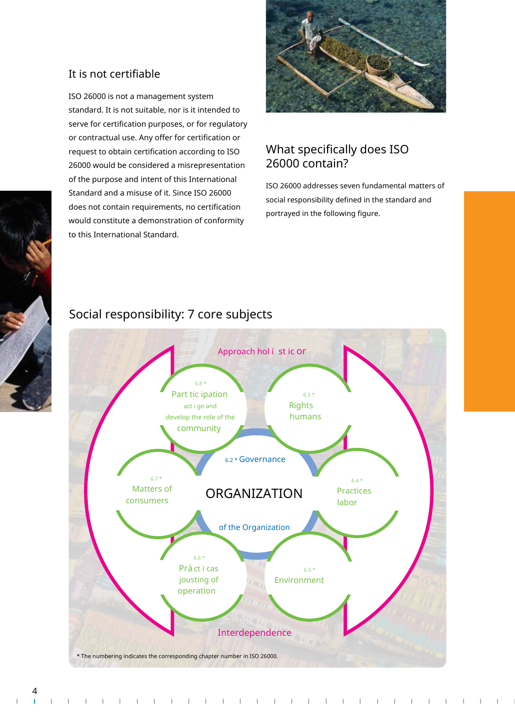

#### It is not certifiable

ISO 26000 is not a management system standard. It is not suitable, nor is it intended to serve for certification purposes, or for regulatory or contractual use. Any offer for certification or request to obtain certification according to ISO 26000 would be considered a misrepresentation of the purpose and intent of this International Standard and a misuse of it. Since ISO 26000 does not contain requirements, no certification would constitute a demonstration of conformity to this International Standard.

#### What specifically does ISO 26000 contain?

ISO 26000 addresses seven fundamental matters of social responsibility defined in the standard and portrayed in the following figure.

# Social responsibility: 7 core subjects



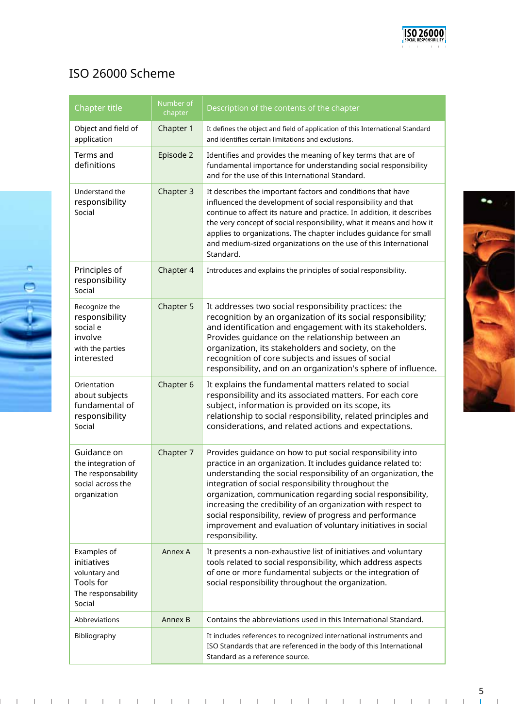

# ISO 26000 Scheme

| Chapter title                                                                                | Number of<br>chapter | Description of the contents of the chapter                                                                                                                                                                                                                                                                                                                                                                                                                                                                                              |
|----------------------------------------------------------------------------------------------|----------------------|-----------------------------------------------------------------------------------------------------------------------------------------------------------------------------------------------------------------------------------------------------------------------------------------------------------------------------------------------------------------------------------------------------------------------------------------------------------------------------------------------------------------------------------------|
| Object and field of<br>application                                                           | Chapter 1            | It defines the object and field of application of this International Standard<br>and identifies certain limitations and exclusions.                                                                                                                                                                                                                                                                                                                                                                                                     |
| Terms and<br>definitions                                                                     | Episode 2            | Identifies and provides the meaning of key terms that are of<br>fundamental importance for understanding social responsibility<br>and for the use of this International Standard.                                                                                                                                                                                                                                                                                                                                                       |
| Understand the<br>responsibility<br>Social                                                   | Chapter 3            | It describes the important factors and conditions that have<br>influenced the development of social responsibility and that<br>continue to affect its nature and practice. In addition, it describes<br>the very concept of social responsibility, what it means and how it<br>applies to organizations. The chapter includes guidance for small<br>and medium-sized organizations on the use of this International<br>Standard.                                                                                                        |
| Principles of<br>responsibility<br>Social                                                    | Chapter 4            | Introduces and explains the principles of social responsibility.                                                                                                                                                                                                                                                                                                                                                                                                                                                                        |
| Recognize the<br>responsibility<br>social e<br>involve<br>with the parties<br>interested     | Chapter 5            | It addresses two social responsibility practices: the<br>recognition by an organization of its social responsibility;<br>and identification and engagement with its stakeholders.<br>Provides guidance on the relationship between an<br>organization, its stakeholders and society, on the<br>recognition of core subjects and issues of social<br>responsibility, and on an organization's sphere of influence.                                                                                                                       |
| Orientation<br>about subjects<br>fundamental of<br>responsibility<br>Social                  | Chapter 6            | It explains the fundamental matters related to social<br>responsibility and its associated matters. For each core<br>subject, information is provided on its scope, its<br>relationship to social responsibility, related principles and<br>considerations, and related actions and expectations.                                                                                                                                                                                                                                       |
| Guidance on<br>the integration of<br>The responsability<br>social across the<br>organization | Chapter 7            | Provides guidance on how to put social responsibility into<br>practice in an organization. It includes guidance related to:<br>understanding the social responsibility of an organization, the<br>integration of social responsibility throughout the<br>organization, communication regarding social responsibility,<br>increasing the credibility of an organization with respect to<br>social responsibility, review of progress and performance<br>improvement and evaluation of voluntary initiatives in social<br>responsibility. |
| Examples of<br>initiatives<br>voluntary and<br>Tools for<br>The responsability<br>Social     | Annex A              | It presents a non-exhaustive list of initiatives and voluntary<br>tools related to social responsibility, which address aspects<br>of one or more fundamental subjects or the integration of<br>social responsibility throughout the organization.                                                                                                                                                                                                                                                                                      |
| Abbreviations                                                                                | Annex B              | Contains the abbreviations used in this International Standard.                                                                                                                                                                                                                                                                                                                                                                                                                                                                         |
| Bibliography                                                                                 |                      | It includes references to recognized international instruments and<br>ISO Standards that are referenced in the body of this International<br>Standard as a reference source.                                                                                                                                                                                                                                                                                                                                                            |



 $\sim 1$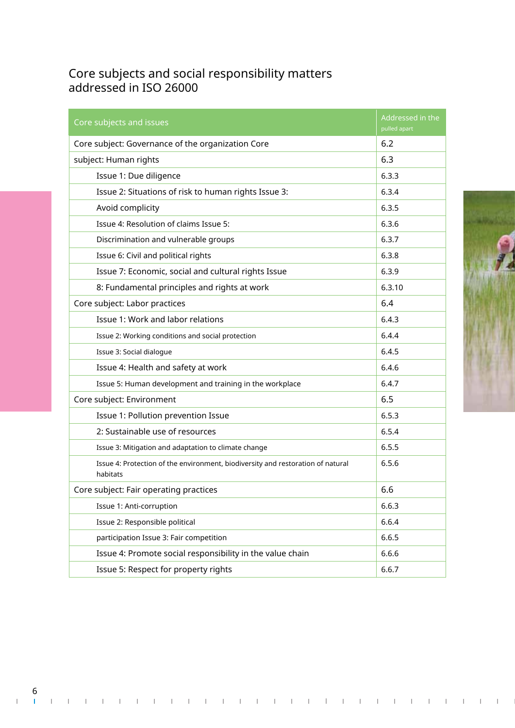# Core subjects and social responsibility matters addressed in ISO 26000

| Core subjects and issues                                                                    | Addressed in the<br>pulled apart |
|---------------------------------------------------------------------------------------------|----------------------------------|
| Core subject: Governance of the organization Core                                           | 6.2                              |
| subject: Human rights                                                                       | 6.3                              |
| Issue 1: Due diligence                                                                      | 6.3.3                            |
| Issue 2: Situations of risk to human rights Issue 3:                                        | 6.3.4                            |
| Avoid complicity                                                                            | 6.3.5                            |
| Issue 4: Resolution of claims Issue 5:                                                      | 6.3.6                            |
| Discrimination and vulnerable groups                                                        | 6.3.7                            |
| Issue 6: Civil and political rights                                                         | 6.3.8                            |
| Issue 7: Economic, social and cultural rights Issue                                         | 6.3.9                            |
| 8: Fundamental principles and rights at work                                                | 6.3.10                           |
| Core subject: Labor practices                                                               | 6.4                              |
| Issue 1: Work and labor relations                                                           | 6.4.3                            |
| Issue 2: Working conditions and social protection                                           | 6.4.4                            |
| Issue 3: Social dialoque                                                                    | 6.4.5                            |
| Issue 4: Health and safety at work                                                          | 6.4.6                            |
| Issue 5: Human development and training in the workplace                                    | 6.4.7                            |
| Core subject: Environment                                                                   | 6.5                              |
| Issue 1: Pollution prevention Issue                                                         | 6.5.3                            |
| 2: Sustainable use of resources                                                             | 6.5.4                            |
| Issue 3: Mitigation and adaptation to climate change                                        | 6.5.5                            |
| Issue 4: Protection of the environment, biodiversity and restoration of natural<br>habitats | 6.5.6                            |
| Core subject: Fair operating practices                                                      | 6.6                              |
| Issue 1: Anti-corruption                                                                    | 6.6.3                            |
| Issue 2: Responsible political                                                              | 6.6.4                            |
| participation Issue 3: Fair competition                                                     | 6.6.5                            |
| Issue 4: Promote social responsibility in the value chain                                   | 6.6.6                            |
| Issue 5: Respect for property rights                                                        | 6.6.7                            |

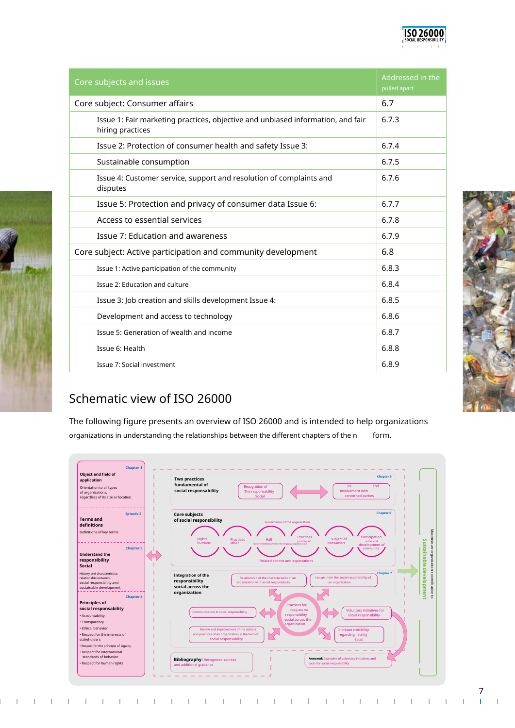| Core subjects and issues                                                                            | Addressed in the<br>pulled apart |
|-----------------------------------------------------------------------------------------------------|----------------------------------|
| Core subject: Consumer affairs                                                                      | 6.7                              |
| Issue 1: Fair marketing practices, objective and unbiased information, and fair<br>hiring practices | 6.7.3                            |
| Issue 2: Protection of consumer health and safety Issue 3:                                          | 6.7.4                            |
| Sustainable consumption                                                                             | 6.7.5                            |
| Issue 4: Customer service, support and resolution of complaints and<br>disputes                     | 6.7.6                            |
| Issue 5: Protection and privacy of consumer data Issue 6:                                           | 6.7.7                            |
| Access to essential services                                                                        | 6.7.8                            |
| <b>Issue 7: Education and awareness</b>                                                             | 6.7.9                            |
| Core subject: Active participation and community development                                        | 6.8                              |
| Issue 1: Active participation of the community                                                      | 6.8.3                            |
| Issue 2: Education and culture                                                                      | 6.8.4                            |
| Issue 3: Job creation and skills development Issue 4:                                               | 6.8.5                            |
| Development and access to technology                                                                | 6.8.6                            |
| Issue 5: Generation of wealth and income                                                            | 6.8.7                            |
| Issue 6: Health                                                                                     | 6.8.8                            |
| Issue 7: Social investment                                                                          | 6.8.9                            |

# Schematic view of ISO 26000

The following figure presents an overview of ISO 26000 and is intended to help organizations organizations in understanding the relationships between the different chapters of the n form.